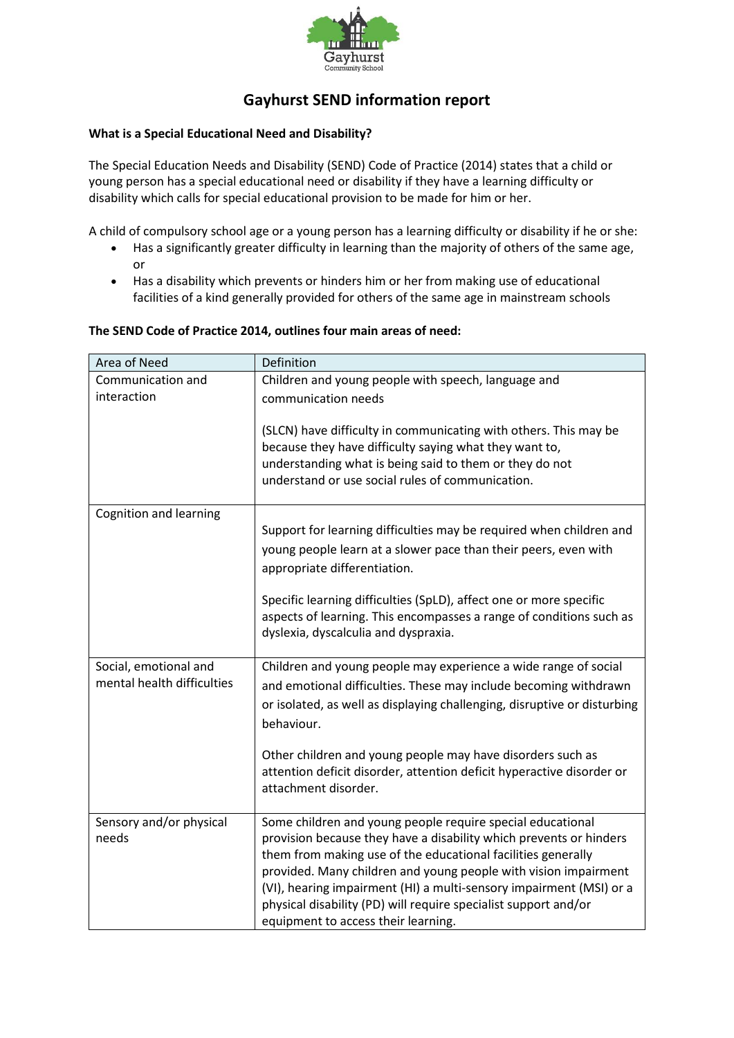

# **Gayhurst SEND information report**

### **What is a Special Educational Need and Disability?**

The Special Education Needs and Disability (SEND) Code of Practice (2014) states that a child or young person has a special educational need or disability if they have a learning difficulty or disability which calls for special educational provision to be made for him or her.

A child of compulsory school age or a young person has a learning difficulty or disability if he or she:

- Has a significantly greater difficulty in learning than the majority of others of the same age, or
- Has a disability which prevents or hinders him or her from making use of educational facilities of a kind generally provided for others of the same age in mainstream schools

### **The SEND Code of Practice 2014, outlines four main areas of need:**

| Area of Need                     | Definition                                                                                                                                                                                                                                                                                                                                                                                                                                           |  |
|----------------------------------|------------------------------------------------------------------------------------------------------------------------------------------------------------------------------------------------------------------------------------------------------------------------------------------------------------------------------------------------------------------------------------------------------------------------------------------------------|--|
| Communication and                | Children and young people with speech, language and                                                                                                                                                                                                                                                                                                                                                                                                  |  |
| interaction                      | communication needs                                                                                                                                                                                                                                                                                                                                                                                                                                  |  |
|                                  | (SLCN) have difficulty in communicating with others. This may be<br>because they have difficulty saying what they want to,<br>understanding what is being said to them or they do not<br>understand or use social rules of communication.                                                                                                                                                                                                            |  |
| Cognition and learning           |                                                                                                                                                                                                                                                                                                                                                                                                                                                      |  |
|                                  | Support for learning difficulties may be required when children and<br>young people learn at a slower pace than their peers, even with<br>appropriate differentiation.                                                                                                                                                                                                                                                                               |  |
|                                  | Specific learning difficulties (SpLD), affect one or more specific<br>aspects of learning. This encompasses a range of conditions such as<br>dyslexia, dyscalculia and dyspraxia.                                                                                                                                                                                                                                                                    |  |
| Social, emotional and            | Children and young people may experience a wide range of social                                                                                                                                                                                                                                                                                                                                                                                      |  |
| mental health difficulties       | and emotional difficulties. These may include becoming withdrawn                                                                                                                                                                                                                                                                                                                                                                                     |  |
|                                  | or isolated, as well as displaying challenging, disruptive or disturbing<br>behaviour.                                                                                                                                                                                                                                                                                                                                                               |  |
|                                  | Other children and young people may have disorders such as<br>attention deficit disorder, attention deficit hyperactive disorder or<br>attachment disorder.                                                                                                                                                                                                                                                                                          |  |
| Sensory and/or physical<br>needs | Some children and young people require special educational<br>provision because they have a disability which prevents or hinders<br>them from making use of the educational facilities generally<br>provided. Many children and young people with vision impairment<br>(VI), hearing impairment (HI) a multi-sensory impairment (MSI) or a<br>physical disability (PD) will require specialist support and/or<br>equipment to access their learning. |  |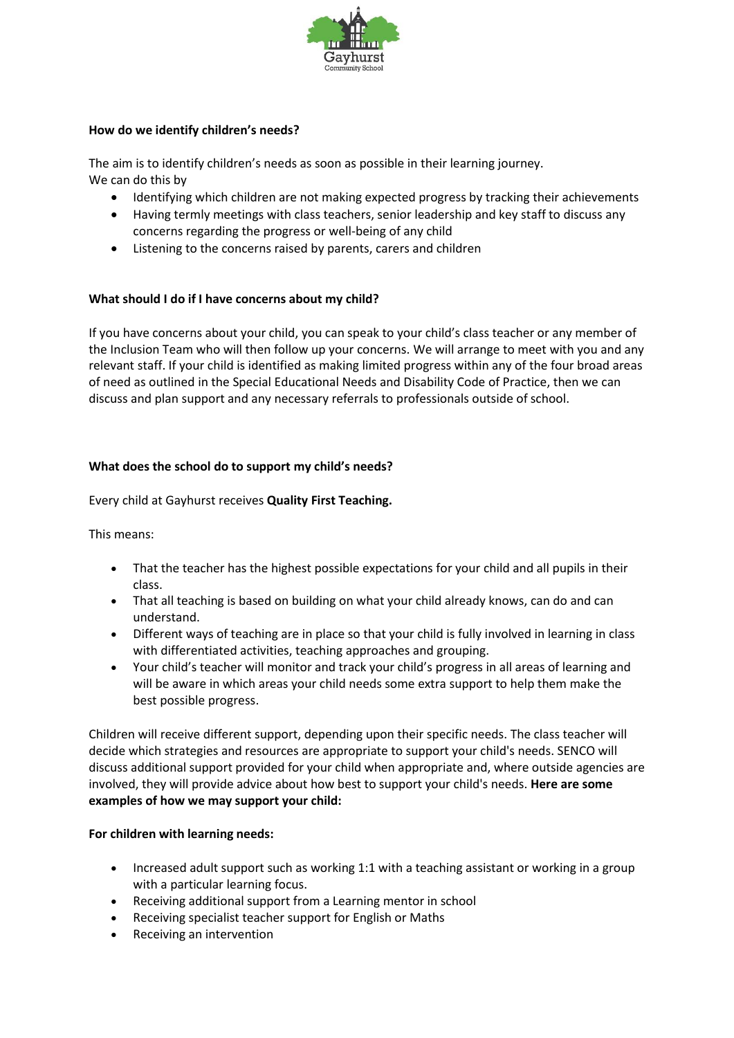

### **How do we identify children's needs?**

The aim is to identify children's needs as soon as possible in their learning journey. We can do this by

- Identifying which children are not making expected progress by tracking their achievements
- Having termly meetings with class teachers, senior leadership and key staff to discuss any concerns regarding the progress or well-being of any child
- Listening to the concerns raised by parents, carers and children

### **What should I do if I have concerns about my child?**

If you have concerns about your child, you can speak to your child's class teacher or any member of the Inclusion Team who will then follow up your concerns. We will arrange to meet with you and any relevant staff. If your child is identified as making limited progress within any of the four broad areas of need as outlined in the Special Educational Needs and Disability Code of Practice, then we can discuss and plan support and any necessary referrals to professionals outside of school.

### **What does the school do to support my child's needs?**

Every child at Gayhurst receives **Quality First Teaching.**

This means:

- That the teacher has the highest possible expectations for your child and all pupils in their class.
- That all teaching is based on building on what your child already knows, can do and can understand.
- Different ways of teaching are in place so that your child is fully involved in learning in class with differentiated activities, teaching approaches and grouping.
- Your child's teacher will monitor and track your child's progress in all areas of learning and will be aware in which areas your child needs some extra support to help them make the best possible progress.

Children will receive different support, depending upon their specific needs. The class teacher will decide which strategies and resources are appropriate to support your child's needs. SENCO will discuss additional support provided for your child when appropriate and, where outside agencies are involved, they will provide advice about how best to support your child's needs. **Here are some examples of how we may support your child:**

#### **For children with learning needs:**

- Increased adult support such as working 1:1 with a teaching assistant or working in a group with a particular learning focus.
- Receiving additional support from a Learning mentor in school
- Receiving specialist teacher support for English or Maths
- Receiving an intervention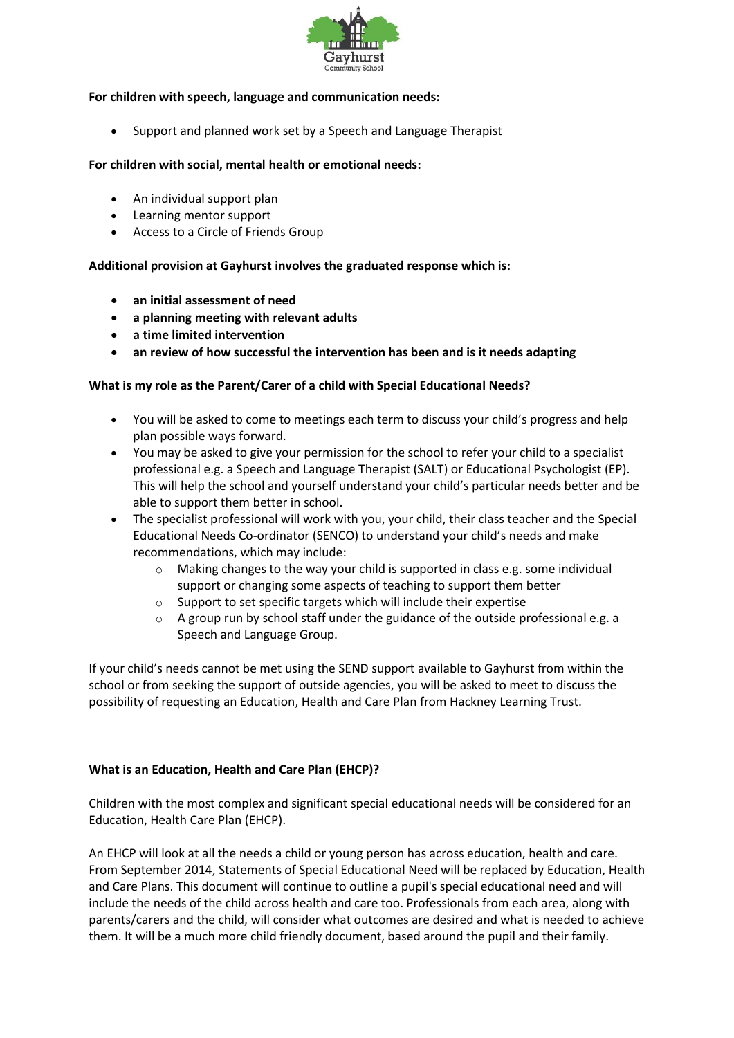

### **For children with speech, language and communication needs:**

• Support and planned work set by a Speech and Language Therapist

### **For children with social, mental health or emotional needs:**

- An individual support plan
- Learning mentor support
- Access to a Circle of Friends Group

### **Additional provision at Gayhurst involves the graduated response which is:**

- **an initial assessment of need**
- **a planning meeting with relevant adults**
- **a time limited intervention**
- **an review of how successful the intervention has been and is it needs adapting**

### **What is my role as the Parent/Carer of a child with Special Educational Needs?**

- You will be asked to come to meetings each term to discuss your child's progress and help plan possible ways forward.
- You may be asked to give your permission for the school to refer your child to a specialist professional e.g. a Speech and Language Therapist (SALT) or Educational Psychologist (EP). This will help the school and yourself understand your child's particular needs better and be able to support them better in school.
- The specialist professional will work with you, your child, their class teacher and the Special Educational Needs Co-ordinator (SENCO) to understand your child's needs and make recommendations, which may include:
	- o Making changes to the way your child is supported in class e.g. some individual support or changing some aspects of teaching to support them better
	- o Support to set specific targets which will include their expertise
	- $\circ$  A group run by school staff under the guidance of the outside professional e.g. a Speech and Language Group.

If your child's needs cannot be met using the SEND support available to Gayhurst from within the school or from seeking the support of outside agencies, you will be asked to meet to discuss the possibility of requesting an Education, Health and Care Plan from Hackney Learning Trust.

### **What is an Education, Health and Care Plan (EHCP)?**

Children with the most complex and significant special educational needs will be considered for an Education, Health Care Plan (EHCP).

An EHCP will look at all the needs a child or young person has across education, health and care. From September 2014, Statements of Special Educational Need will be replaced by Education, Health and Care Plans. This document will continue to outline a pupil's special educational need and will include the needs of the child across health and care too. Professionals from each area, along with parents/carers and the child, will consider what outcomes are desired and what is needed to achieve them. It will be a much more child friendly document, based around the pupil and their family.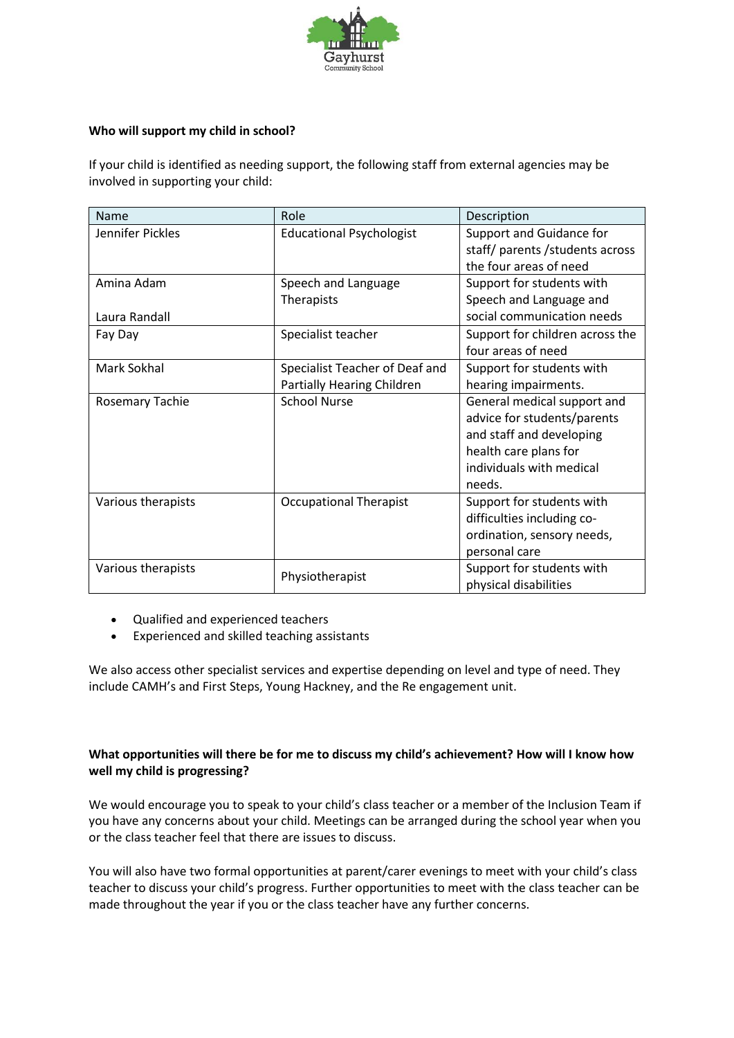

### **Who will support my child in school?**

If your child is identified as needing support, the following staff from external agencies may be involved in supporting your child:

| Name                   | Role                              | Description                     |
|------------------------|-----------------------------------|---------------------------------|
| Jennifer Pickles       | <b>Educational Psychologist</b>   | Support and Guidance for        |
|                        |                                   | staff/ parents/students across  |
|                        |                                   | the four areas of need          |
| Amina Adam             | Speech and Language               | Support for students with       |
|                        | Therapists                        | Speech and Language and         |
| Laura Randall          |                                   | social communication needs      |
| Fay Day                | Specialist teacher                | Support for children across the |
|                        |                                   | four areas of need              |
| Mark Sokhal            | Specialist Teacher of Deaf and    | Support for students with       |
|                        | <b>Partially Hearing Children</b> | hearing impairments.            |
| <b>Rosemary Tachie</b> | <b>School Nurse</b>               | General medical support and     |
|                        |                                   | advice for students/parents     |
|                        |                                   | and staff and developing        |
|                        |                                   | health care plans for           |
|                        |                                   | individuals with medical        |
|                        |                                   | needs.                          |
| Various therapists     | <b>Occupational Therapist</b>     | Support for students with       |
|                        |                                   | difficulties including co-      |
|                        |                                   | ordination, sensory needs,      |
|                        |                                   | personal care                   |
| Various therapists     | Physiotherapist                   | Support for students with       |
|                        |                                   | physical disabilities           |

- Qualified and experienced teachers
- Experienced and skilled teaching assistants

We also access other specialist services and expertise depending on level and type of need. They include CAMH's and First Steps, Young Hackney, and the Re engagement unit.

### **What opportunities will there be for me to discuss my child's achievement? How will I know how well my child is progressing?**

We would encourage you to speak to your child's class teacher or a member of the Inclusion Team if you have any concerns about your child. Meetings can be arranged during the school year when you or the class teacher feel that there are issues to discuss.

You will also have two formal opportunities at parent/carer evenings to meet with your child's class teacher to discuss your child's progress. Further opportunities to meet with the class teacher can be made throughout the year if you or the class teacher have any further concerns.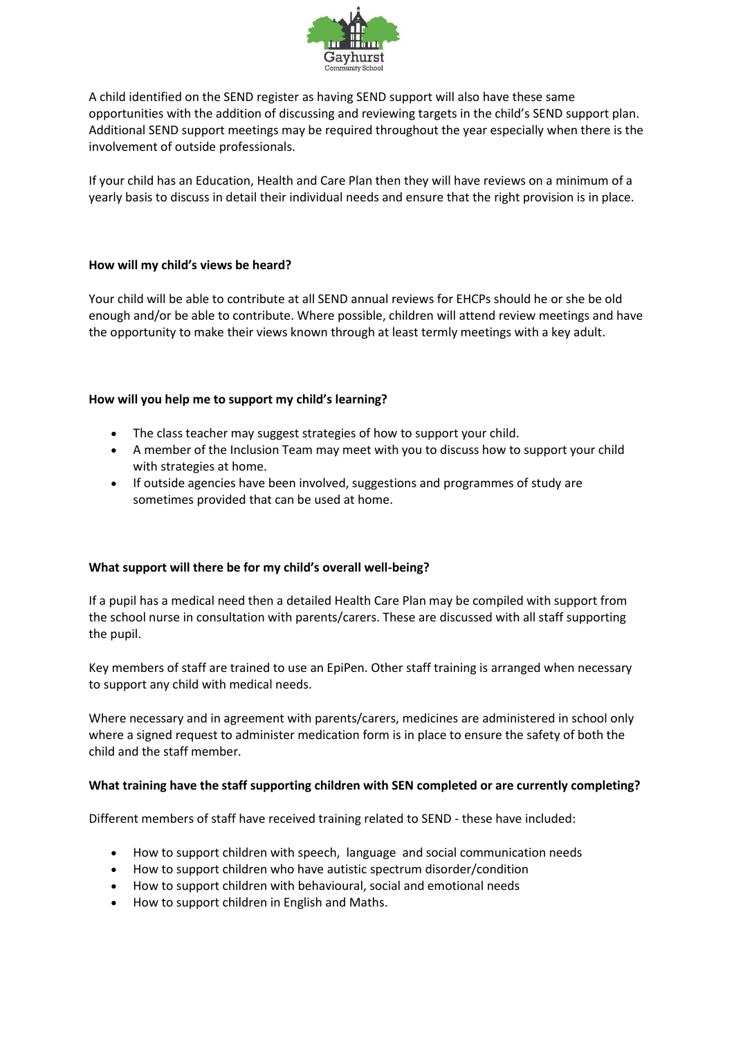

A child identified on the SEND register as having SEND support will also have these same opportunities with the addition of discussing and reviewing targets in the child's SEND support plan. Additional SEND support meetings may be required throughout the year especially when there is the involvement of outside professionals.

If your child has an Education, Health and Care Plan then they will have reviews on a minimum of a yearly basis to discuss in detail their individual needs and ensure that the right provision is in place.

### **How will my child's views be heard?**

Your child will be able to contribute at all SEND annual reviews for EHCPs should he or she be old enough and/or be able to contribute. Where possible, children will attend review meetings and have the opportunity to make their views known through at least termly meetings with a key adult.

### **How will you help me to support my child's learning?**

- The class teacher may suggest strategies of how to support your child.
- A member of the Inclusion Team may meet with you to discuss how to support your child with strategies at home.
- If outside agencies have been involved, suggestions and programmes of study are sometimes provided that can be used at home.

#### **What support will there be for my child's overall well-being?**

If a pupil has a medical need then a detailed Health Care Plan may be compiled with support from the school nurse in consultation with parents/carers. These are discussed with all staff supporting the pupil.

Key members of staff are trained to use an EpiPen. Other staff training is arranged when necessary to support any child with medical needs.

Where necessary and in agreement with parents/carers, medicines are administered in school only where a signed request to administer medication form is in place to ensure the safety of both the child and the staff member.

#### **What training have the staff supporting children with SEN completed or are currently completing?**

Different members of staff have received training related to SEND - these have included:

- How to support children with speech, language and social communication needs
- How to support children who have autistic spectrum disorder/condition
- How to support children with behavioural, social and emotional needs
- How to support children in English and Maths.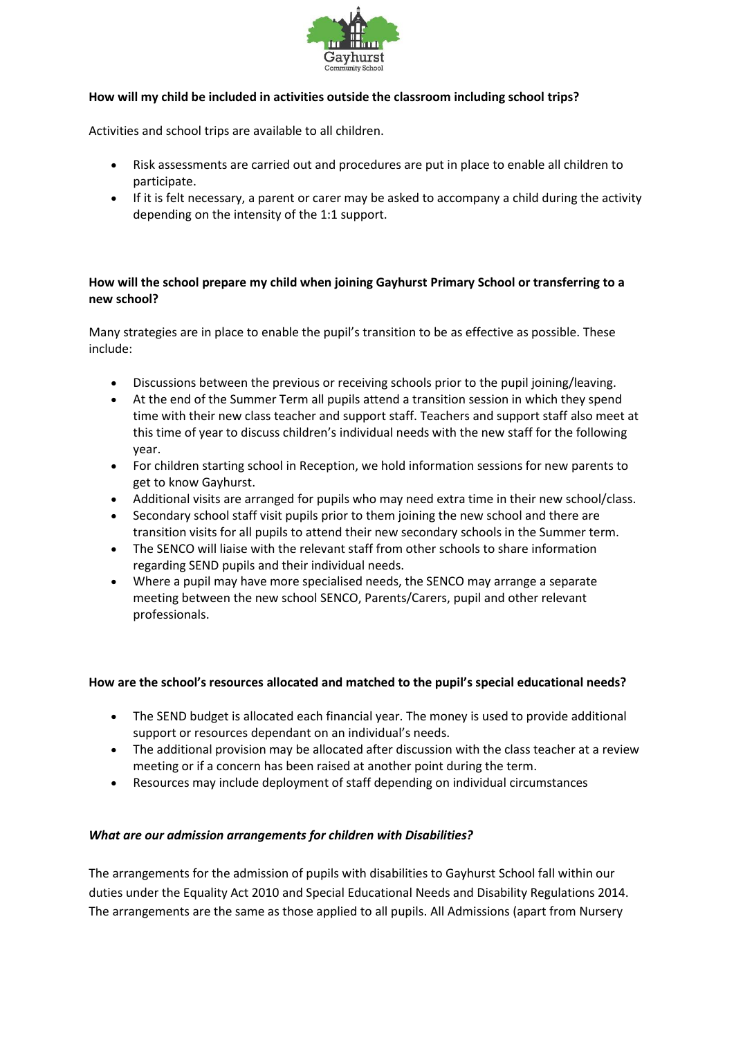

### **How will my child be included in activities outside the classroom including school trips?**

Activities and school trips are available to all children.

- Risk assessments are carried out and procedures are put in place to enable all children to participate.
- If it is felt necessary, a parent or carer may be asked to accompany a child during the activity depending on the intensity of the 1:1 support.

### **How will the school prepare my child when joining Gayhurst Primary School or transferring to a new school?**

Many strategies are in place to enable the pupil's transition to be as effective as possible. These include:

- Discussions between the previous or receiving schools prior to the pupil joining/leaving.
- At the end of the Summer Term all pupils attend a transition session in which they spend time with their new class teacher and support staff. Teachers and support staff also meet at this time of year to discuss children's individual needs with the new staff for the following year.
- For children starting school in Reception, we hold information sessions for new parents to get to know Gayhurst.
- Additional visits are arranged for pupils who may need extra time in their new school/class.
- Secondary school staff visit pupils prior to them joining the new school and there are transition visits for all pupils to attend their new secondary schools in the Summer term.
- The SENCO will liaise with the relevant staff from other schools to share information regarding SEND pupils and their individual needs.
- Where a pupil may have more specialised needs, the SENCO may arrange a separate meeting between the new school SENCO, Parents/Carers, pupil and other relevant professionals.

#### **How are the school's resources allocated and matched to the pupil's special educational needs?**

- The SEND budget is allocated each financial year. The money is used to provide additional support or resources dependant on an individual's needs.
- The additional provision may be allocated after discussion with the class teacher at a review meeting or if a concern has been raised at another point during the term.
- Resources may include deployment of staff depending on individual circumstances

#### *What are our admission arrangements for children with Disabilities?*

The arrangements for the admission of pupils with disabilities to Gayhurst School fall within our duties under the Equality Act 2010 and Special Educational Needs and Disability Regulations 2014. The arrangements are the same as those applied to all pupils. All Admissions (apart from Nursery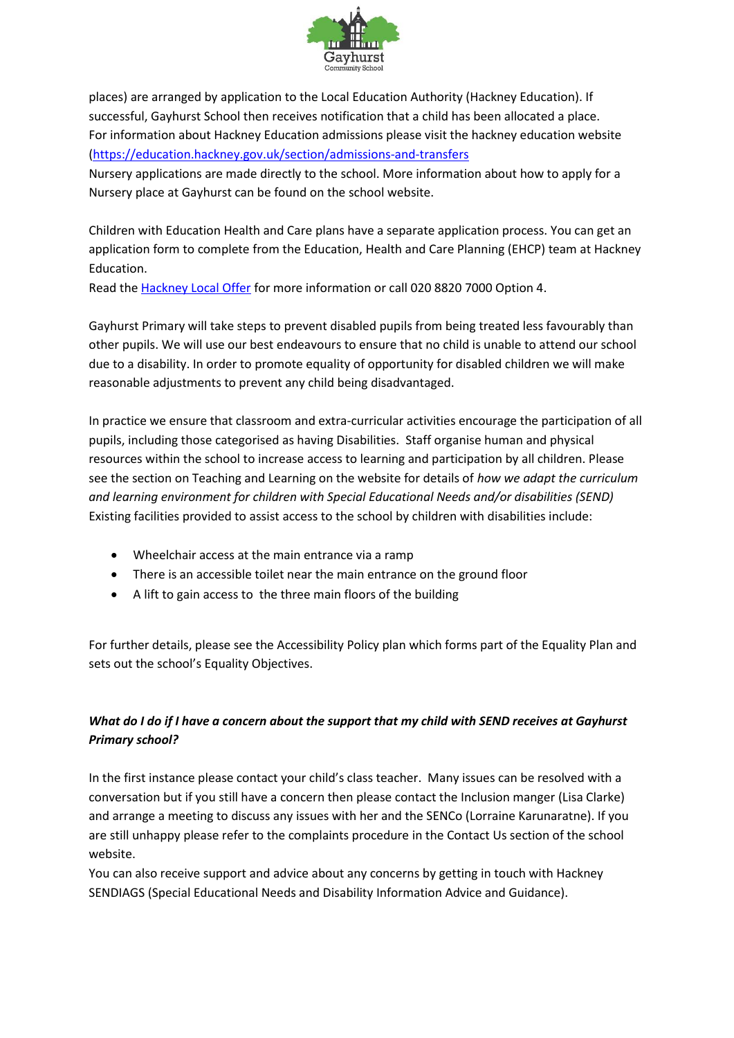

places) are arranged by application to the Local Education Authority (Hackney Education). If successful, Gayhurst School then receives notification that a child has been allocated a place. For information about Hackney Education admissions please visit the hackney education website [\(https://education.hackney.gov.uk/section/admissions-and-transfers](https://education.hackney.gov.uk/section/admissions-and-transfers)

Nursery applications are made directly to the school. More information about how to apply for a Nursery place at Gayhurst can be found on the school website.

Children with Education Health and Care plans have a separate application process. You can get an application form to complete from the Education, Health and Care Planning (EHCP) team at Hackney Education.

Read the [Hackney Local Offer](http://www.hackneylocaloffer.co.uk/primarysend) for more information or call 020 8820 7000 Option 4.

Gayhurst Primary will take steps to prevent disabled pupils from being treated less favourably than other pupils. We will use our best endeavours to ensure that no child is unable to attend our school due to a disability. In order to promote equality of opportunity for disabled children we will make reasonable adjustments to prevent any child being disadvantaged.

In practice we ensure that classroom and extra-curricular activities encourage the participation of all pupils, including those categorised as having Disabilities. Staff organise human and physical resources within the school to increase access to learning and participation by all children. Please see the section on Teaching and Learning on the website for details of *how we adapt the curriculum and learning environment for children with Special Educational Needs and/or disabilities (SEND)* Existing facilities provided to assist access to the school by children with disabilities include:

- Wheelchair access at the main entrance via a ramp
- There is an accessible toilet near the main entrance on the ground floor
- A lift to gain access to the three main floors of the building

For further details, please see the Accessibility Policy plan which forms part of the Equality Plan and sets out the school's Equality Objectives.

## *What do I do if I have a concern about the support that my child with SEND receives at Gayhurst Primary school?*

In the first instance please contact your child's class teacher. Many issues can be resolved with a conversation but if you still have a concern then please contact the Inclusion manger (Lisa Clarke) and arrange a meeting to discuss any issues with her and the SENCo (Lorraine Karunaratne). If you are still unhappy please refer to the complaints procedure in the Contact Us section of the school website.

You can also receive support and advice about any concerns by getting in touch with Hackney SENDIAGS (Special Educational Needs and Disability Information Advice and Guidance).